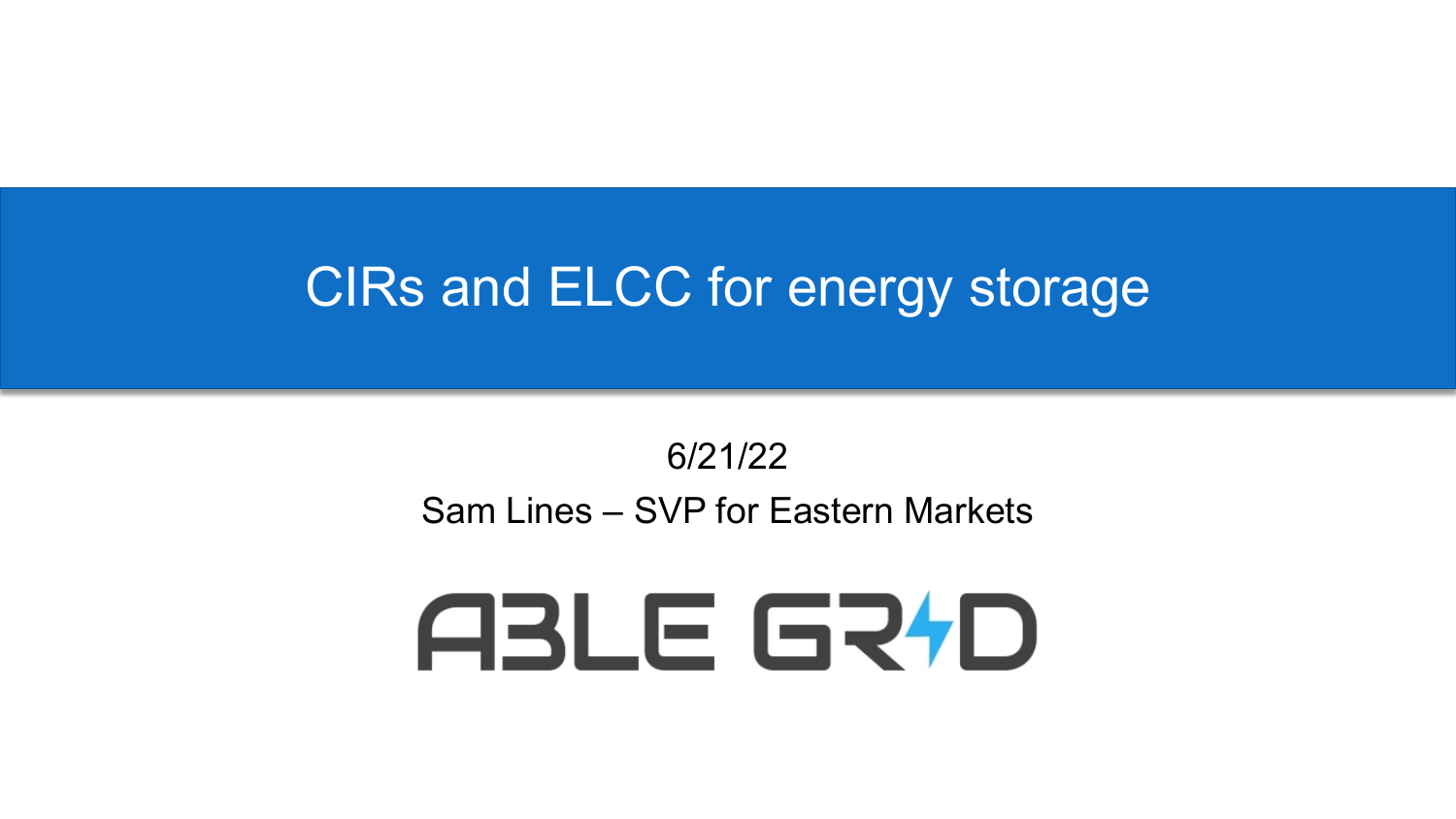### CIRs and ELCC for energy storage

#### 6/21/22 Sam Lines – SVP for Eastern Markets

# ABLE GRFD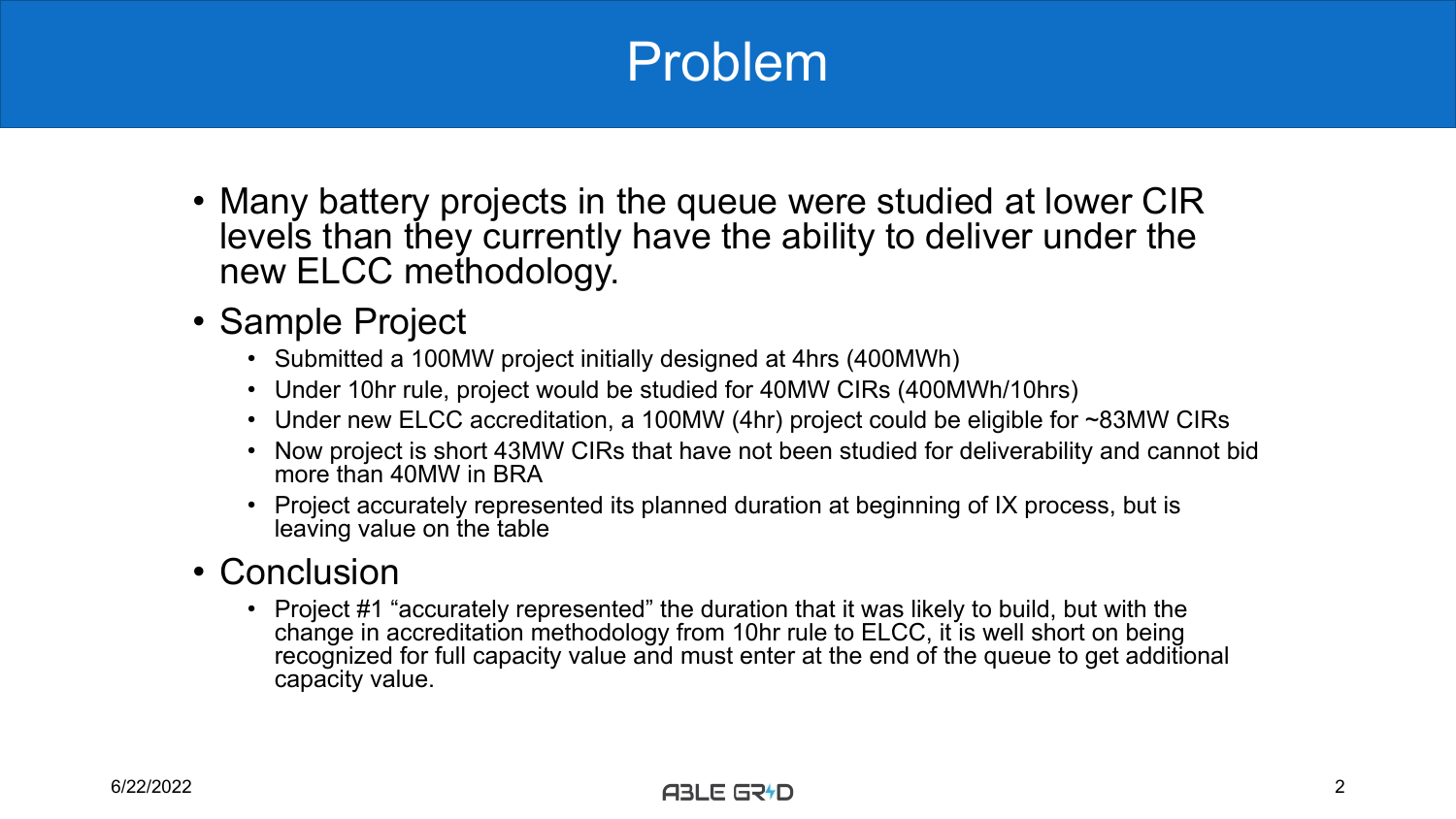## Problem

- Many battery projects in the queue were studied at lower CIR levels than they currently have the ability to deliver under the new ELCC methodology.
- Sample Project
	- Submitted a 100MW project initially designed at 4hrs (400MWh)
	- Under 10hr rule, project would be studied for 40MW CIRs (400MWh/10hrs)
	- Under new ELCC accreditation, a 100MW (4hr) project could be eligible for ~83MW CIRs
	- Now project is short 43MW CIRs that have not been studied for deliverability and cannot bid more than 40MW in BRA
	- Project accurately represented its planned duration at beginning of IX process, but is leaving value on the table

#### • Conclusion

• Project #1 "accurately represented" the duration that it was likely to build, but with the change in accreditation methodology from 10hr rule to ELCC, it is well short on being recognized for full capacity value and must enter at the end of the queue to get additional capacity value.